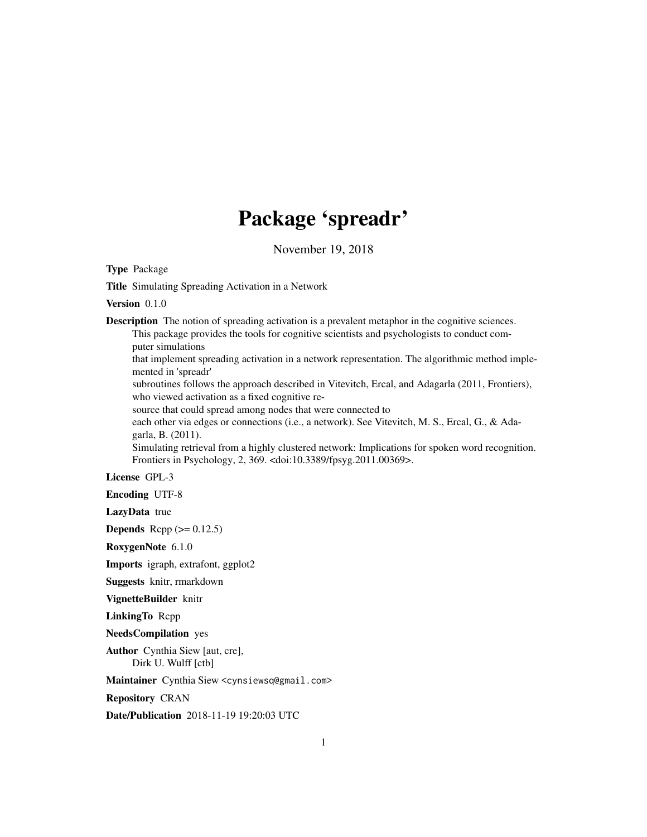## Package 'spreadr'

November 19, 2018

Type Package

Title Simulating Spreading Activation in a Network

Version 0.1.0

Description The notion of spreading activation is a prevalent metaphor in the cognitive sciences. This package provides the tools for cognitive scientists and psychologists to conduct computer simulations

that implement spreading activation in a network representation. The algorithmic method implemented in 'spreadr'

subroutines follows the approach described in Vitevitch, Ercal, and Adagarla (2011, Frontiers), who viewed activation as a fixed cognitive re-

source that could spread among nodes that were connected to

each other via edges or connections (i.e., a network). See Vitevitch, M. S., Ercal, G., & Adagarla, B. (2011).

Simulating retrieval from a highly clustered network: Implications for spoken word recognition. Frontiers in Psychology, 2, 369. <doi:10.3389/fpsyg.2011.00369>.

License GPL-3

Encoding UTF-8

LazyData true

**Depends** Rcpp  $(>= 0.12.5)$ 

RoxygenNote 6.1.0

Imports igraph, extrafont, ggplot2

Suggests knitr, rmarkdown

VignetteBuilder knitr

LinkingTo Rcpp

NeedsCompilation yes

Author Cynthia Siew [aut, cre], Dirk U. Wulff [ctb]

Maintainer Cynthia Siew <cynsiewsq@gmail.com>

Repository CRAN

Date/Publication 2018-11-19 19:20:03 UTC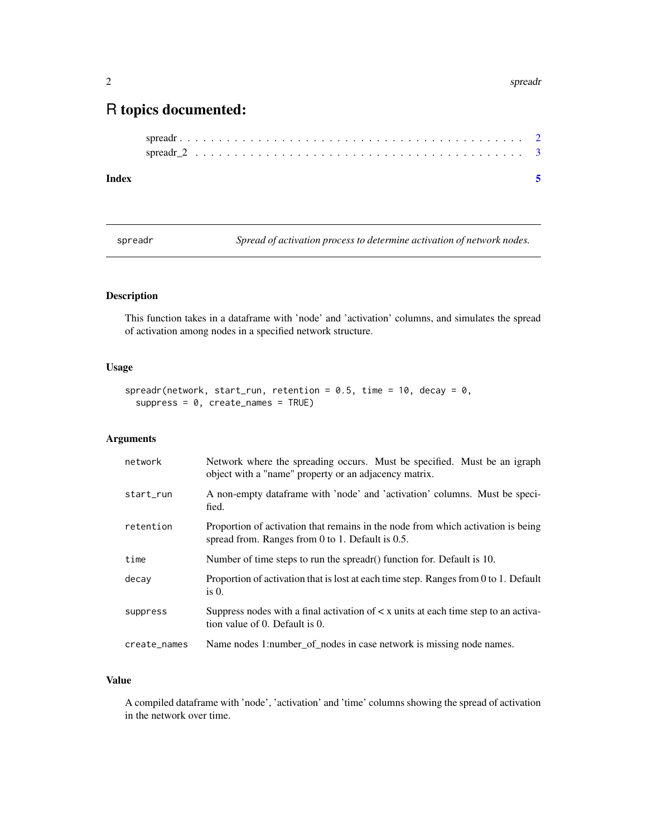#### <span id="page-1-0"></span>2 spreadr spreadr spreadr spreadr spreadr spreadr spreadr spreadr spreadr spreadr spreadr spreadr spreadr spre

### R topics documented:

spreadr *Spread of activation process to determine activation of network nodes.*

#### Description

This function takes in a dataframe with 'node' and 'activation' columns, and simulates the spread of activation among nodes in a specified network structure.

#### Usage

```
spreadr(network, start_run, retention = 0.5, time = 10, decay = 0,
  suppress = 0, create\_names = TRUE)
```
#### Arguments

| network      | Network where the spreading occurs. Must be specified. Must be an igraph<br>object with a "name" property or an adjacency matrix.            |
|--------------|----------------------------------------------------------------------------------------------------------------------------------------------|
| start_run    | A non-empty dataframe with 'node' and 'activation' columns. Must be speci-<br>fied.                                                          |
| retention    | Proportion of activation that remains in the node from which activation is being<br>spread from. Ranges from $0$ to $1$ . Default is $0.5$ . |
| time         | Number of time steps to run the spreadr() function for. Default is 10.                                                                       |
| decay        | Proportion of activation that is lost at each time step. Ranges from 0 to 1. Default<br>is $0$ .                                             |
| suppress     | Suppress nodes with a final activation of $\lt x$ units at each time step to an activa-<br>tion value of 0. Default is 0.                    |
| create_names | Name nodes 1:number_of_nodes in case network is missing node names.                                                                          |

#### Value

A compiled dataframe with 'node', 'activation' and 'time' columns showing the spread of activation in the network over time.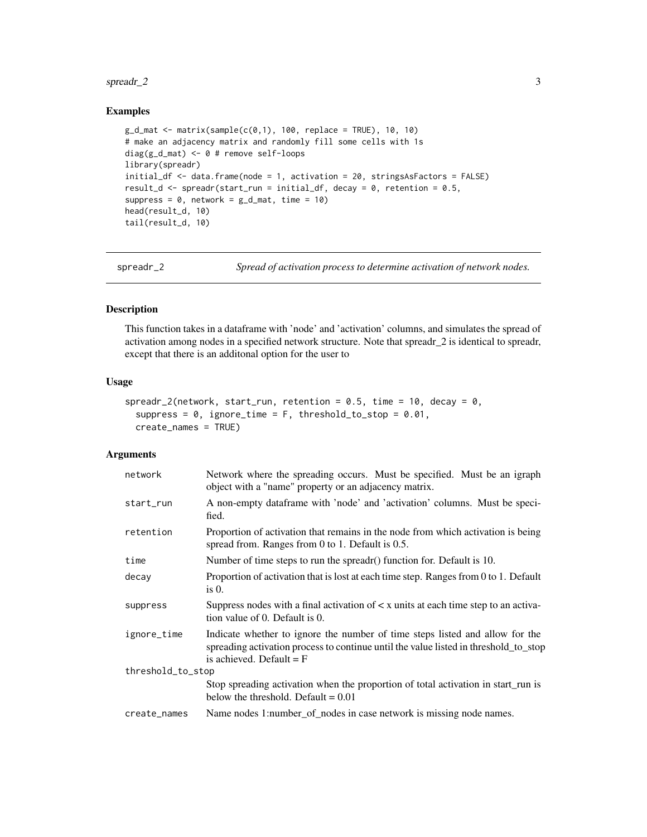#### <span id="page-2-0"></span> $\frac{1}{3}$  spreadr\_2

#### Examples

```
g_d_mat <- matrix(sample(c(0,1), 100, replace = TRUE), 10, 10)
# make an adjacency matrix and randomly fill some cells with 1s
diag(g_d_mat) <- 0 # remove self-loops
library(spreadr)
initial_df <- data.frame(node = 1, activation = 20, stringsAsFactors = FALSE)
result_d <- spreadr(start_run = initial_df, decay = 0, retention = 0.5,
suppress = 0, network = g_d-mat, time = 10)
head(result_d, 10)
tail(result_d, 10)
```
spreadr\_2 *Spread of activation process to determine activation of network nodes.*

#### Description

This function takes in a dataframe with 'node' and 'activation' columns, and simulates the spread of activation among nodes in a specified network structure. Note that spreadr\_2 is identical to spreadr, except that there is an additonal option for the user to

#### Usage

```
spreadr_2(network, start_run, retention = 0.5, time = 10, decay = 0,
  suppress = 0, ignore_time = F, threshold_to_stop = 0.01,
 create_names = TRUE)
```
#### Arguments

| network           | Network where the spreading occurs. Must be specified. Must be an igraph<br>object with a "name" property or an adjacency matrix.                                                                  |
|-------------------|----------------------------------------------------------------------------------------------------------------------------------------------------------------------------------------------------|
| start_run         | A non-empty dataframe with 'node' and 'activation' columns. Must be speci-<br>fied.                                                                                                                |
| retention         | Proportion of activation that remains in the node from which activation is being<br>spread from. Ranges from $0$ to $1$ . Default is $0.5$ .                                                       |
| time              | Number of time steps to run the spreadr() function for. Default is 10.                                                                                                                             |
| decay             | Proportion of activation that is lost at each time step. Ranges from 0 to 1. Default<br>is $0$ .                                                                                                   |
| suppress          | Suppress nodes with a final activation of $\lt x$ units at each time step to an activa-<br>tion value of 0. Default is 0.                                                                          |
| ignore_time       | Indicate whether to ignore the number of time steps listed and allow for the<br>spreading activation process to continue until the value listed in threshold_to_stop<br>is achieved. Default $=$ F |
| threshold_to_stop |                                                                                                                                                                                                    |
|                   | Stop spreading activation when the proportion of total activation in start_run is<br>below the threshold. Default $= 0.01$                                                                         |
| create_names      | Name nodes 1:number_of_nodes in case network is missing node names.                                                                                                                                |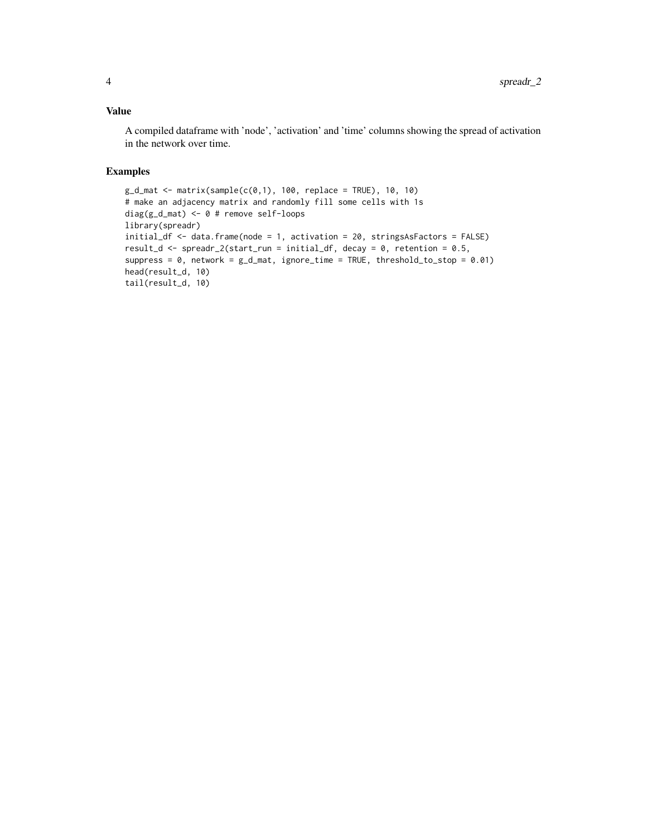#### Value

A compiled dataframe with 'node', 'activation' and 'time' columns showing the spread of activation in the network over time.

#### Examples

```
g_d_mat <- matrix(sample(c(0,1), 100, replace = TRUE), 10, 10)
# make an adjacency matrix and randomly fill some cells with 1s
diag(g_d_mat) <- 0 # remove self-loops
library(spreadr)
initial_df <- data.frame(node = 1, activation = 20, stringsAsFactors = FALSE)
result_d <- spreadr_2(start_run = initial_df, decay = 0, retention = 0.5,
suppress = 0, network = g_d-mat, ignore_time = TRUE, threshold_to_stop = 0.01)
head(result_d, 10)
tail(result_d, 10)
```